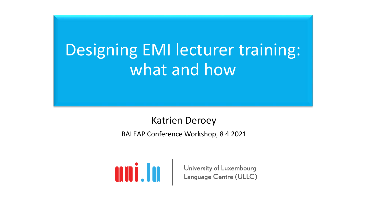# Designing EMI lecturer training: what and how

#### Katrien Deroey

BALEAP Conference Workshop, 8 4 2021



**All III State of Luxembourg**<br>Language Centre (ULLC)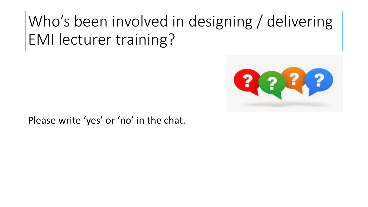# Who's been involved in designing / delivering EMI lecturer training?



Please write 'yes' or 'no' in the chat.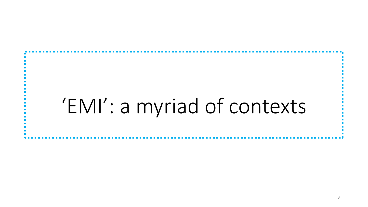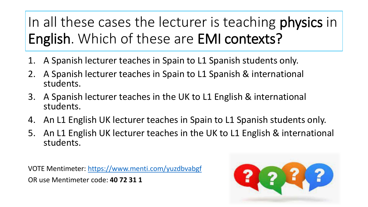#### In all these cases the lecturer is teaching **physics** in English. Which of these are EMI contexts?

- 1. A Spanish lecturer teaches in Spain to L1 Spanish students only.
- 2. A Spanish lecturer teaches in Spain to L1 Spanish & international students.
- 3. A Spanish lecturer teaches in the UK to L1 English & international students.
- 4. An L1 English UK lecturer teaches in Spain to L1 Spanish students only.
- 5. An L1 English UK lecturer teaches in the UK to L1 English & international students.

VOTE Mentimeter: <https://www.menti.com/yuzdbvabgf> OR use Mentimeter code: **40 72 31 1**

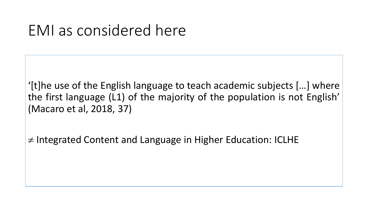#### EMI as considered here

'[t]he use of the English language to teach academic subjects […] where the first language (L1) of the majority of the population is not English' (Macaro et al, 2018, 37)

≠ Integrated Content and Language in Higher Education: ICLHE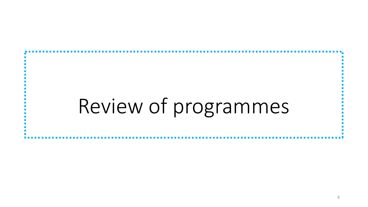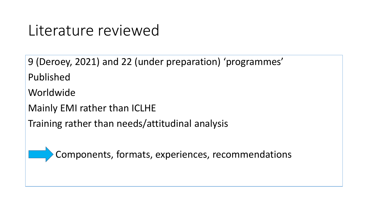#### Literature reviewed

9 (Deroey, 2021) and 22 (under preparation) 'programmes' Published Worldwide Mainly EMI rather than ICLHE

Training rather than needs/attitudinal analysis

Components, formats, experiences, recommendations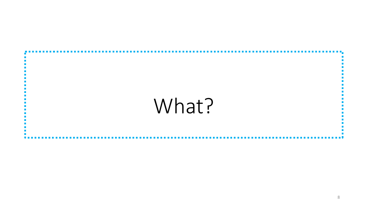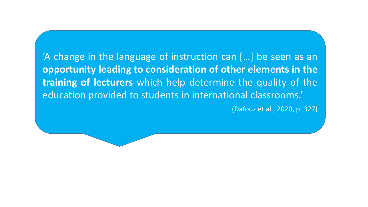'A change in the language of instruction can […] be seen as an **opportunity leading to consideration of other elements in the training of lecturers** which help determine the quality of the education provided to students in international classrooms.'

(Dafouz et al., 2020, p. 327)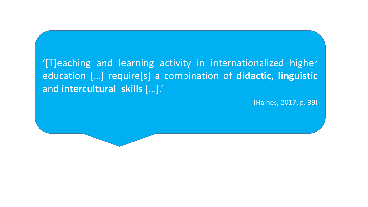#### '[T]eaching and learning activity in internationalized higher education […] require[s] a combination of **didactic, linguistic** and **intercultural skills** […].'

(Haines, 2017, p. 39)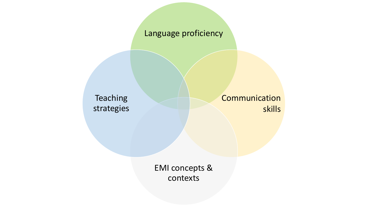#### Language proficiency

Teaching strategies **Communication** skills

EMI concepts & contexts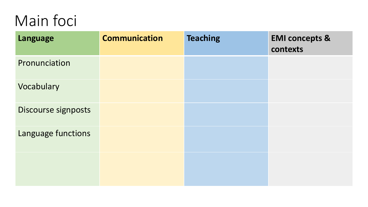# Main foci

| Language            | <b>Communication</b> | <b>Teaching</b> | <b>EMI concepts &amp;</b><br>contexts |
|---------------------|----------------------|-----------------|---------------------------------------|
| Pronunciation       |                      |                 |                                       |
| Vocabulary          |                      |                 |                                       |
| Discourse signposts |                      |                 |                                       |
| Language functions  |                      |                 |                                       |
|                     |                      |                 |                                       |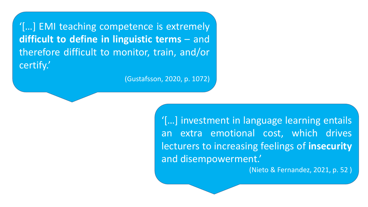'[…] EMI teaching competence is extremely **difficult to define in linguistic terms** – and therefore difficult to monitor, train, and/or certify.'

(Gustafsson, 2020, p. 1072)

'[…] investment in language learning entails an extra emotional cost, which drives lecturers to increasing feelings of **insecurity** and disempowerment.'

(Nieto & Fernandez, 2021, p. 52 )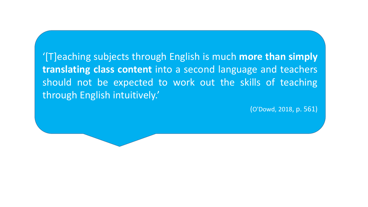'[T]eaching subjects through English is much **more than simply translating class content** into a second language and teachers should not be expected to work out the skills of teaching through English intuitively.'

(O'Dowd, 2018, p. 561)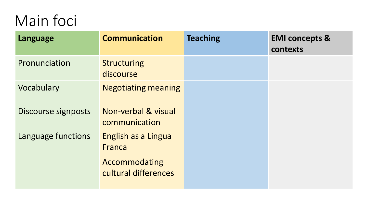# Main foci

| <b>Language</b>     | <b>Communication</b>                  | <b>Teaching</b> | <b>EMI concepts &amp;</b><br>contexts |
|---------------------|---------------------------------------|-----------------|---------------------------------------|
| Pronunciation       | <b>Structuring</b><br>discourse       |                 |                                       |
| Vocabulary          | <b>Negotiating meaning</b>            |                 |                                       |
| Discourse signposts | Non-verbal & visual<br>communication  |                 |                                       |
| Language functions  | English as a Lingua<br>Franca         |                 |                                       |
|                     | Accommodating<br>cultural differences |                 |                                       |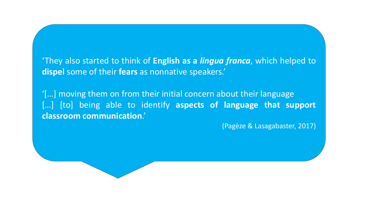'They also started to think of **English as a** *lingua franca*, which helped to **dispel** some of their **fears** as nonnative speakers.'

'[…] moving them on from their initial concern about their language […] [to] being able to identify **aspects of language that support classroom communication**.'

(Pagèze & Lasagabaster, 2017)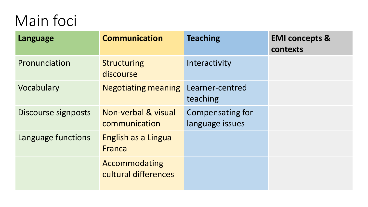# Main foci

| Language            | <b>Communication</b>                  | <b>Teaching</b>                     | <b>EMI concepts &amp;</b><br>contexts |
|---------------------|---------------------------------------|-------------------------------------|---------------------------------------|
| Pronunciation       | <b>Structuring</b><br>discourse       | Interactivity                       |                                       |
| Vocabulary          | <b>Negotiating meaning</b>            | Learner-centred<br>teaching         |                                       |
| Discourse signposts | Non-verbal & visual<br>communication  | Compensating for<br>language issues |                                       |
| Language functions  | English as a Lingua<br>Franca         |                                     |                                       |
|                     | Accommodating<br>cultural differences |                                     |                                       |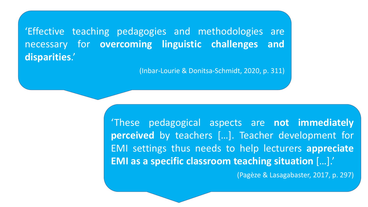'Effective teaching pedagogies and methodologies are necessary for **overcoming linguistic challenges and disparities**.'

(Inbar-Lourie & Donitsa-Schmidt, 2020, p. 311)

'These pedagogical aspects are **not immediately perceived** by teachers […]. Teacher development for EMI settings thus needs to help lecturers **appreciate EMI as a specific classroom teaching situation** […].'

(Pagèze & Lasagabaster, 2017, p. 297)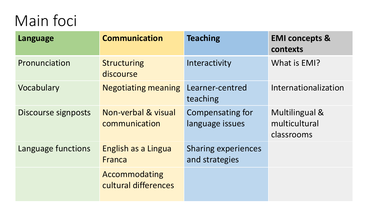# Main foci

| Language            | <b>Communication</b>                  | <b>Teaching</b>                              | <b>EMI concepts &amp;</b><br>contexts         |
|---------------------|---------------------------------------|----------------------------------------------|-----------------------------------------------|
| Pronunciation       | <b>Structuring</b><br>discourse       | Interactivity                                | What is EMI?                                  |
| Vocabulary          | <b>Negotiating meaning</b>            | Learner-centred<br>teaching                  | Internationalization                          |
| Discourse signposts | Non-verbal & visual<br>communication  | <b>Compensating for</b><br>language issues   | Multilingual &<br>multicultural<br>classrooms |
| Language functions  | English as a Lingua<br>Franca         | <b>Sharing experiences</b><br>and strategies |                                               |
|                     | Accommodating<br>cultural differences |                                              |                                               |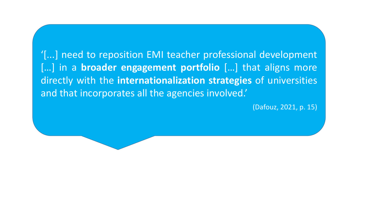'[...] need to reposition EMI teacher professional development [...] in a **broader engagement portfolio** [...] that aligns more directly with the **internationalization strategies** of universities and that incorporates all the agencies involved.'

(Dafouz, 2021, p. 15)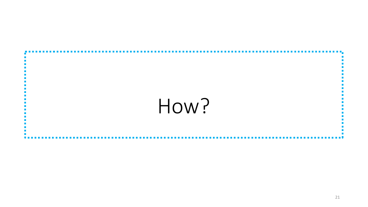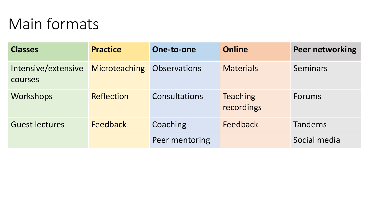# Main formats

| <b>Classes</b>                 | <b>Practice</b>      | One-to-one          | <b>Online</b>                 | <b>Peer networking</b> |
|--------------------------------|----------------------|---------------------|-------------------------------|------------------------|
| Intensive/extensive<br>courses | <b>Microteaching</b> | <b>Observations</b> | <b>Materials</b>              | Seminars               |
| Workshops                      | <b>Reflection</b>    | Consultations       | <b>Teaching</b><br>recordings | <b>Forums</b>          |
| <b>Guest lectures</b>          | Feedback             | Coaching            | Feedback                      | <b>Tandems</b>         |
|                                |                      | Peer mentoring      |                               | Social media           |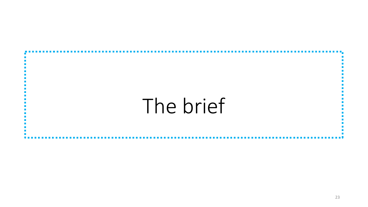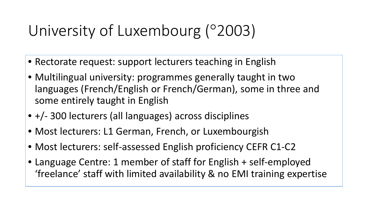# University of Luxembourg (°2003)

- Rectorate request: support lecturers teaching in English
- Multilingual university: programmes generally taught in two languages (French/English or French/German), some in three and some entirely taught in English
- +/- 300 lecturers (all languages) across disciplines
- Most lecturers: L1 German, French, or Luxembourgish
- Most lecturers: self-assessed English proficiency CEFR C1-C2
- Language Centre: 1 member of staff for English + self-employed 'freelance' staff with limited availability & no EMI training expertise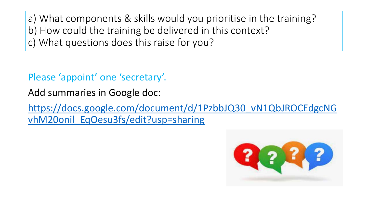a) What components & skills would you prioritise in the training? b) How could the training be delivered in this context? c) What questions does this raise for you?

Please 'appoint' one 'secretary'.

Add summaries in Google doc:

[https://docs.google.com/document/d/1PzbbJQ30\\_vN1QbJROCEdgcNG](https://docs.google.com/document/d/1PzbbJQ30_vN1QbJROCEdgcNGvhM20onil_EqOesu3fs/edit?usp=sharing) vhM20onil EqOesu3fs/edit?usp=sharing

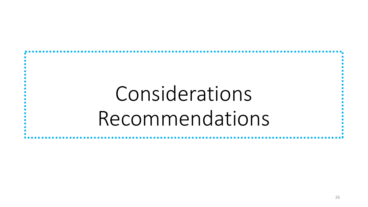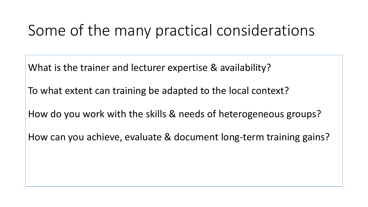# Some of the many practical considerations

What is the trainer and lecturer expertise & availability?

To what extent can training be adapted to the local context?

How do you work with the skills & needs of heterogeneous groups?

How can you achieve, evaluate & document long-term training gains?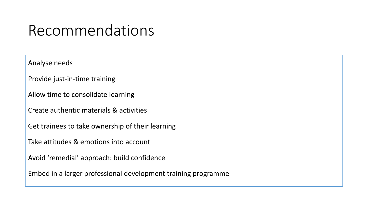#### Recommendations

Analyse needs

Provide just-in-time training

Allow time to consolidate learning

Create authentic materials & activities

Get trainees to take ownership of their learning

Take attitudes & emotions into account

Avoid 'remedial' approach: build confidence

Embed in a larger professional development training programme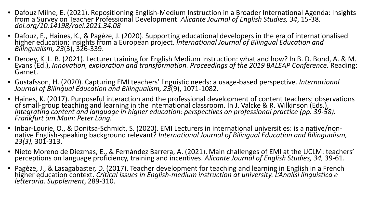- Dafouz Milne, E. (2021). Repositioning English-Medium Instruction in a Broader International Agenda: Insights from a Survey on Teacher Professional Development. Alicante Journal of English Studies, 34, 15-38.<br>doi.org/10.
- Dafouz, E., Haines, K., & Pagèze, J. (2020). Supporting educational developers in the era of internationalised higher education: insights from a European project. *International Journal of Bilingual Education and*<br>Bilingualism, 23(3), 326-339.
- Deroey, K. L. B. (2021). Lecturer training for English Medium Instruction: what and how? In B. D. Bond, A. & M.<br>Evans (Ed.), *Innovation, exploration and transformation. Proceedings of the 2019 BALEAP Conference.* Reading: Garnet.
- Gustafsson, H. (2020). Capturing EMI teachers' linguistic needs: a usage-based perspective. *International Journal of Bilingual Education and Bilingualism, 23*(9), 1071-1082.
- Haines, K. (2017). Purposeful interaction and the professional development of content teachers: observations<br>of small-group teaching and learning in the international classroom. In J. Valcke & R. Wilkinson (Eds.),<br>Integrat
- Inbar-Lourie, O., & Donitsa-Schmidt, S. (2020). EMI Lecturers in international universities: is a native/non-<br>native English-speaking background relevant? International Journal of Bilingual Education and Bilingualism,<br>23
- Nieto Moreno de Diezmas, E., & Fernández Barrera, A. (2021). Main challenges of EMI at the UCLM: teachers'<br>perceptions on language proficiency, training and incentives. Alicante Journal of English Studies, 34, 39-61.
- Pagèze, J., & Lasagabaster, D. (2017). Teacher development for teaching and learning in English in a French<br>higher education context. Critical issues in English-medium instruction at university. L'Analisi linguistica e *letteraria. Supplement*, 289-310.